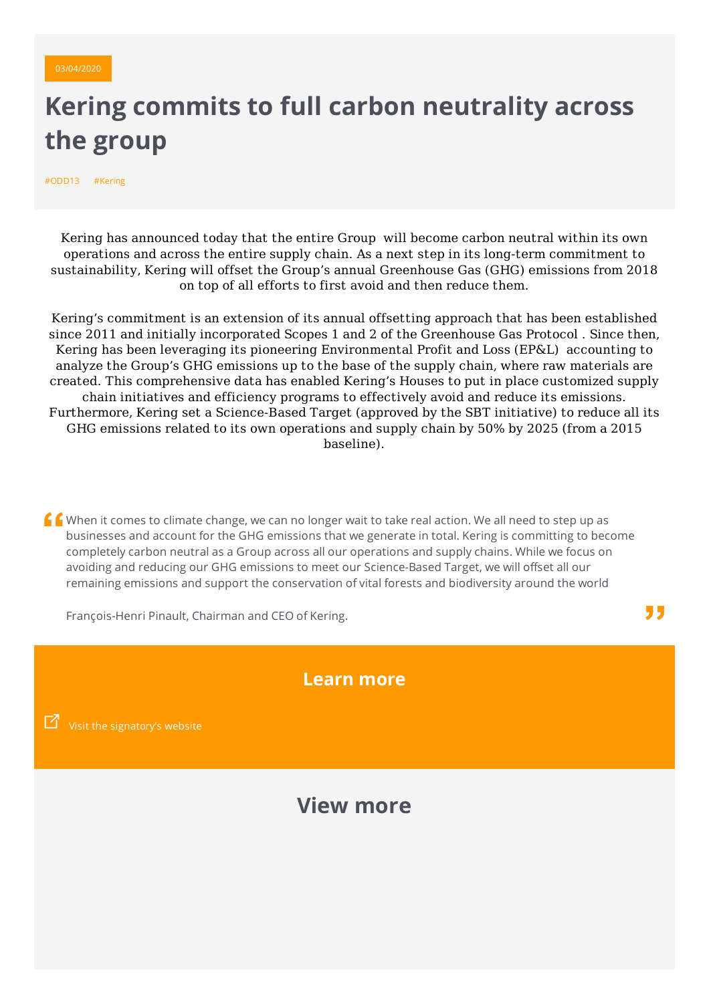

## **Kering commits to full carbon neutrality across the group**

#ODD13 #Kering

Kering has announced today that the entire Group will become carbon neutral within its own operations and across the entire supply chain. As a next step in its long-term commitment to sustainability, Kering will offset the Group's annual Greenhouse Gas (GHG) emissions from 2018 on top of all efforts to first avoid and then reduce them.

Kering's commitment is an extension of its annual offsetting approach that has been established since 2011 and initially incorporated Scopes 1 and 2 of the Greenhouse Gas Protocol . Since then, Kering has been leveraging its pioneering Environmental Profit and Loss (EP&L) accounting to analyze the Group's GHG emissions up to the base of the supply chain, where raw materials are created. This comprehensive data has enabled Kering's Houses to put in place customized supply chain initiatives and efficiency programs to effectively avoid and reduce its emissions. Furthermore, Kering set a Science-Based Target (approved by the SBT initiative) to reduce all its GHG emissions related to its own operations and supply chain by 50% by 2025 (from a 2015 baseline).

 $\int$   $\int$  When it comes to climate change, we can no longer wait to take real action. We all need to step up as businesses and account for the GHG emissions that we generate in total. Kering is committing to become completely carbon neutral as a Group across all our operations and supply chains. While we focus on avoiding and reducing our GHG emissions to meet our Science-Based Target, we will offset all our remaining emissions and support the conservation of vital forests and biodiversity around the world

François-Henri Pinault, Chairman and CEO of Kering.

**Learn more**

"

Visit the [signatory's](https://keringcorporate.dam.kering.com/m/7ac22a362d6ee1fc/original/Communique-de-presse-Kering-s-engage-a-la-neutralite-carbone-24-09-2019.pdf) website

**View more**